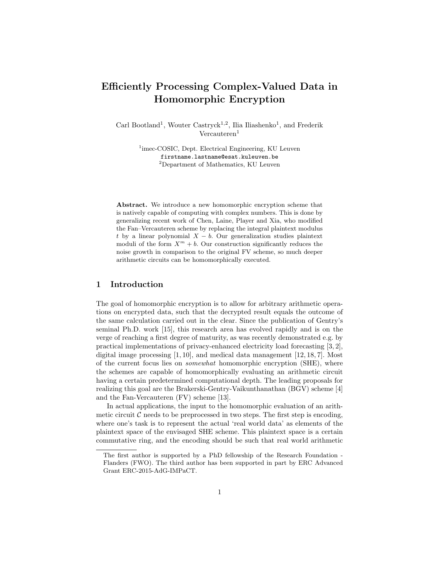# Efficiently Processing Complex-Valued Data in Homomorphic Encryption

Carl Bootland<sup>1</sup>, Wouter Castryck<sup>1,2</sup>, Ilia Iliashenko<sup>1</sup>, and Frederik  $Vercauteren<sup>1</sup>$ 

> <sup>1</sup>imec-COSIC, Dept. Electrical Engineering, KU Leuven firstname.lastname@esat.kuleuven.be <sup>2</sup>Department of Mathematics, KU Leuven

Abstract. We introduce a new homomorphic encryption scheme that is natively capable of computing with complex numbers. This is done by generalizing recent work of Chen, Laine, Player and Xia, who modified the Fan–Vercauteren scheme by replacing the integral plaintext modulus t by a linear polynomial  $X - b$ . Our generalization studies plaintext moduli of the form  $X^m + b$ . Our construction significantly reduces the noise growth in comparison to the original FV scheme, so much deeper arithmetic circuits can be homomorphically executed.

## 1 Introduction

The goal of homomorphic encryption is to allow for arbitrary arithmetic operations on encrypted data, such that the decrypted result equals the outcome of the same calculation carried out in the clear. Since the publication of Gentry's seminal Ph.D. work [15], this research area has evolved rapidly and is on the verge of reaching a first degree of maturity, as was recently demonstrated e.g. by practical implementations of privacy-enhanced electricity load forecasting [3, 2], digital image processing [1, 10], and medical data management [12, 18, 7]. Most of the current focus lies on somewhat homomorphic encryption (SHE), where the schemes are capable of homomorphically evaluating an arithmetic circuit having a certain predetermined computational depth. The leading proposals for realizing this goal are the Brakerski-Gentry-Vaikunthanathan (BGV) scheme [4] and the Fan-Vercauteren (FV) scheme [13].

In actual applications, the input to the homomorphic evaluation of an arithmetic circuit  $\mathcal C$  needs to be preprocessed in two steps. The first step is encoding, where one's task is to represent the actual 'real world data' as elements of the plaintext space of the envisaged SHE scheme. This plaintext space is a certain commutative ring, and the encoding should be such that real world arithmetic

The first author is supported by a PhD fellowship of the Research Foundation - Flanders (FWO). The third author has been supported in part by ERC Advanced Grant ERC-2015-AdG-IMPaCT.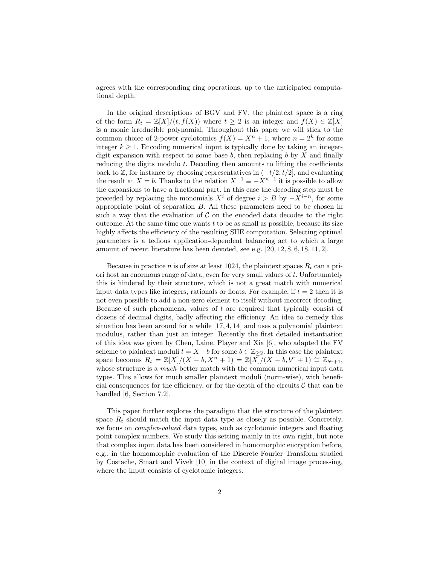agrees with the corresponding ring operations, up to the anticipated computational depth.

In the original descriptions of BGV and FV, the plaintext space is a ring of the form  $R_t = \mathbb{Z}[X]/(t, f(X))$  where  $t \geq 2$  is an integer and  $f(X) \in \mathbb{Z}[X]$ is a monic irreducible polynomial. Throughout this paper we will stick to the common choice of 2-power cyclotomics  $f(X) = X^n + 1$ , where  $n = 2^k$  for some integer  $k \geq 1$ . Encoding numerical input is typically done by taking an integerdigit expansion with respect to some base  $b$ , then replacing  $b$  by  $X$  and finally reducing the digits modulo  $t$ . Decoding then amounts to lifting the coefficients back to  $\mathbb{Z}$ , for instance by choosing representatives in  $(-t/2, t/2]$ , and evaluating the result at  $X = b$ . Thanks to the relation  $X^{-1} \equiv -X^{n-1}$  it is possible to allow the expansions to have a fractional part. In this case the decoding step must be preceded by replacing the monomials  $X^i$  of degree  $i > B$  by  $-X^{i-n}$ , for some appropriate point of separation B. All these parameters need to be chosen in such a way that the evaluation of  $C$  on the encoded data decodes to the right outcome. At the same time one wants  $t$  to be as small as possible, because its size highly affects the efficiency of the resulting SHE computation. Selecting optimal parameters is a tedious application-dependent balancing act to which a large amount of recent literature has been devoted, see e.g. [20, 12, 8, 6, 18, 11, 2].

Because in practice *n* is of size at least 1024, the plaintext spaces  $R_t$  can a priori host an enormous range of data, even for very small values of  $t$ . Unfortunately this is hindered by their structure, which is not a great match with numerical input data types like integers, rationals or floats. For example, if  $t = 2$  then it is not even possible to add a non-zero element to itself without incorrect decoding. Because of such phenomena, values of t are required that typically consist of dozens of decimal digits, badly affecting the efficiency. An idea to remedy this situation has been around for a while [17, 4, 14] and uses a polynomial plaintext modulus, rather than just an integer. Recently the first detailed instantiation of this idea was given by Chen, Laine, Player and Xia [6], who adapted the FV scheme to plaintext moduli  $t = X - b$  for some  $b \in \mathbb{Z}_{\geq 2}$ . In this case the plaintext space becomes  $R_t = \mathbb{Z}[X]/(X - b, X^n + 1) = \mathbb{Z}[X]/(X - b, b^n + 1) \cong \mathbb{Z}_{b^n + 1}$ , whose structure is a *much* better match with the common numerical input data types. This allows for much smaller plaintext moduli (norm-wise), with beneficial consequences for the efficiency, or for the depth of the circuits  $\mathcal C$  that can be handled [6, Section 7.2].

This paper further explores the paradigm that the structure of the plaintext space  $R_t$  should match the input data type as closely as possible. Concretely, we focus on *complex-valued* data types, such as cyclotomic integers and floating point complex numbers. We study this setting mainly in its own right, but note that complex input data has been considered in homomorphic encryption before, e.g., in the homomorphic evaluation of the Discrete Fourier Transform studied by Costache, Smart and Vivek [10] in the context of digital image processing, where the input consists of cyclotomic integers.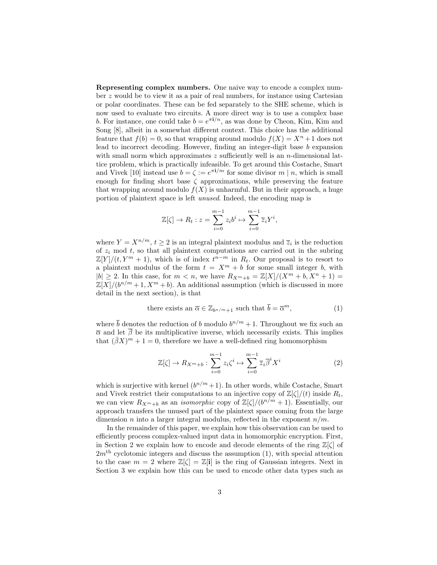Representing complex numbers. One naive way to encode a complex number z would be to view it as a pair of real numbers, for instance using Cartesian or polar coordinates. These can be fed separately to the SHE scheme, which is now used to evaluate two circuits. A more direct way is to use a complex base b. For instance, one could take  $b = e^{\pi i/n}$ , as was done by Cheon, Kim, Kim and Song [8], albeit in a somewhat different context. This choice has the additional feature that  $f(b) = 0$ , so that wrapping around modulo  $f(X) = X<sup>n</sup> + 1$  does not lead to incorrect decoding. However, finding an integer-digit base b expansion with small norm which approximates  $z$  sufficiently well is an  $n$ -dimensional lattice problem, which is practically infeasible. To get around this Costache, Smart and Vivek [10] instead use  $b = \zeta := e^{\pi i/m}$  for some divisor  $m | n$ , which is small enough for finding short base  $\zeta$  approximations, while preserving the feature that wrapping around modulo  $f(X)$  is unharmful. But in their approach, a huge portion of plaintext space is left unused. Indeed, the encoding map is

$$
\mathbb{Z}[\zeta] \to R_t : z = \sum_{i=0}^{m-1} z_i b^i \mapsto \sum_{i=0}^{m-1} \overline{z}_i Y^i,
$$

where  $Y = X^{n/m}$ ,  $t \ge 2$  is an integral plaintext modulus and  $\overline{z}_i$  is the reduction of  $z_i$  mod t, so that all plaintext computations are carried out in the subring  $\mathbb{Z}[Y]/(t, Y^m + 1)$ , which is of index  $t^{n-m}$  in  $R_t$ . Our proposal is to resort to a plaintext modulus of the form  $t = X^m + b$  for some small integer b, with  $|b| \geq 2$ . In this case, for  $m < n$ , we have  $R_{X^m+b} = \mathbb{Z}[X]/(X^m + b, X^n + 1) =$  $\mathbb{Z}[X]/(b^{n/m}+1, X^m+b)$ . An additional assumption (which is discussed in more detail in the next section), is that

there exists an 
$$
\overline{\alpha} \in \mathbb{Z}_{b^{n/m}+1}
$$
 such that  $\overline{b} = \overline{\alpha}^m$ ,  $(1)$ 

where  $\bar{b}$  denotes the reduction of b modulo  $b^{n/m} + 1$ . Throughout we fix such an  $\bar{\alpha}$  and let  $\bar{\beta}$  be its multiplicative inverse, which necessarily exists. This implies that  $(\bar{\beta}X)^m + 1 = 0$ , therefore we have a well-defined ring homomorphism

$$
\mathbb{Z}[\zeta] \to R_{X^m + b} : \sum_{i=0}^{m-1} z_i \zeta^i \mapsto \sum_{i=0}^{m-1} \overline{z}_i \overline{\beta}^i X^i \tag{2}
$$

which is surjective with kernel  $(b^{n/m}+1)$ . In other words, while Costache, Smart and Vivek restrict their computations to an injective copy of  $\mathbb{Z}[\zeta]/(t)$  inside  $R_t$ , we can view  $R_{X^m+b}$  as an *isomorphic* copy of  $\mathbb{Z}[\zeta]/(b^{n/m}+1)$ . Essentially, our approach transfers the unused part of the plaintext space coming from the large dimension n into a larger integral modulus, reflected in the exponent  $n/m$ .

In the remainder of this paper, we explain how this observation can be used to efficiently process complex-valued input data in homomorphic encryption. First, in Section 2 we explain how to encode and decode elements of the ring  $\mathbb{Z}[\zeta]$  of  $2m<sup>th</sup>$  cyclotomic integers and discuss the assumption (1), with special attention to the case  $m = 2$  where  $\mathbb{Z}[\zeta] = \mathbb{Z}[\mathbf{i}]$  is the ring of Gaussian integers. Next in Section 3 we explain how this can be used to encode other data types such as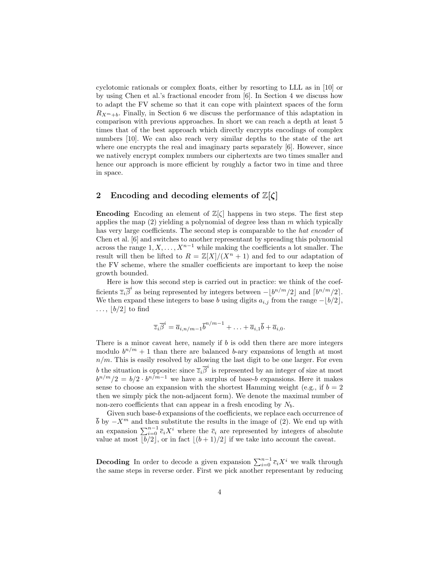cyclotomic rationals or complex floats, either by resorting to LLL as in [10] or by using Chen et al.'s fractional encoder from [6]. In Section 4 we discuss how to adapt the FV scheme so that it can cope with plaintext spaces of the form  $R_{X^m+b}$ . Finally, in Section 6 we discuss the performance of this adaptation in comparison with previous approaches. In short we can reach a depth at least 5 times that of the best approach which directly encrypts encodings of complex numbers [10]. We can also reach very similar depths to the state of the art where one encrypts the real and imaginary parts separately [6]. However, since we natively encrypt complex numbers our ciphertexts are two times smaller and hence our approach is more efficient by roughly a factor two in time and three in space.

## 2 Encoding and decoding elements of  $\mathbb{Z}[\zeta]$

**Encoding** Encoding an element of  $\mathbb{Z}[\zeta]$  happens in two steps. The first step applies the map  $(2)$  yielding a polynomial of degree less than m which typically has very large coefficients. The second step is comparable to the *hat encoder* of Chen et al. [6] and switches to another representant by spreading this polynomial across the range  $1, X, \ldots, X^{n-1}$  while making the coefficients a lot smaller. The result will then be lifted to  $R = \mathbb{Z}[X]/(X^n + 1)$  and fed to our adaptation of the FV scheme, where the smaller coefficients are important to keep the noise growth bounded.

Here is how this second step is carried out in practice: we think of the coefficients  $\overline{z}_i \overline{\beta}^i$  as being represented by integers between  $-\lfloor b^{n/m}/2 \rfloor$  and  $\lceil b^{n/m}/2 \rceil$ . We then expand these integers to base b using digits  $a_{i,j}$  from the range  $-[b/2],$  $\ldots$ ,  $\lfloor b/2 \rfloor$  to find

$$
\overline{z}_i \overline{\beta}^i = \overline{a}_{i,n/m-1} \overline{b}^{n/m-1} + \ldots + \overline{a}_{i,1} \overline{b} + \overline{a}_{i,0}.
$$

There is a minor caveat here, namely if  $b$  is odd then there are more integers modulo  $b^{n/m} + 1$  than there are balanced b-ary expansions of length at most  $n/m$ . This is easily resolved by allowing the last digit to be one larger. For even b the situation is opposite: since  $\overline{z}_i \overline{\beta}^i$  is represented by an integer of size at most  $b^{n/m}/2 = b/2 \cdot b^{n/m-1}$  we have a surplus of base-b expansions. Here it makes sense to choose an expansion with the shortest Hamming weight (e.g., if  $b = 2$ ) then we simply pick the non-adjacent form). We denote the maximal number of non-zero coefficients that can appear in a fresh encoding by  $N_b$ .

Given such base-b expansions of the coefficients, we replace each occurrence of  $\bar{b}$  by  $-X^m$  and then substitute the results in the image of (2). We end up with an expansion  $\sum_{i=0}^{n-1} \overline{c}_i X^i$  where the  $\overline{c}_i$  are represented by integers of absolute value at most  $\overline{b}/2\overline{c}$ , or in fact  $\left| \frac{(b + 1)}{2} \right|$  if we take into account the caveat.

**Decoding** In order to decode a given expansion  $\sum_{i=0}^{n-1} \bar{c}_i X^i$  we walk through the same steps in reverse order. First we pick another representant by reducing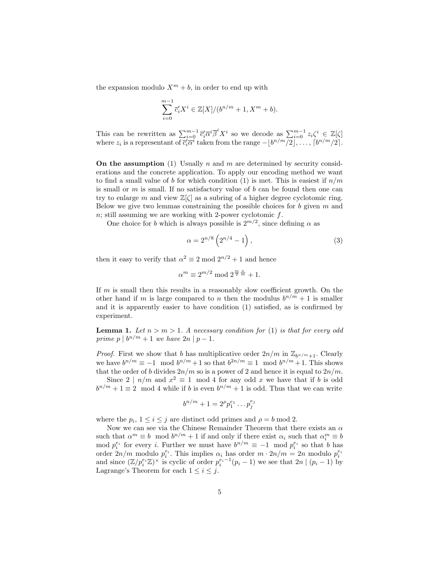the expansion modulo  $X^m + b$ , in order to end up with

$$
\sum_{i=0}^{m-1} \overline{c}'_i X^i \in \mathbb{Z}[X]/(b^{n/m} + 1, X^m + b).
$$

This can be rewritten as  $\sum_{i=0}^{m-1} \bar{c}_i' \bar{\alpha}^i \bar{\beta}^i X^i$  so we decode as  $\sum_{i=0}^{m-1} z_i \zeta^i \in \mathbb{Z}[\zeta]$ where  $z_i$  is a representant of  $\overline{c}_i^i \overline{\alpha}^i$  taken from the range  $-[b^{n/m}/2], \ldots, [b^{n/m}/2].$ 

On the assumption (1) Usually n and m are determined by security considerations and the concrete application. To apply our encoding method we want to find a small value of b for which condition (1) is met. This is easiest if  $n/m$ is small or  $m$  is small. If no satisfactory value of  $b$  can be found then one can try to enlarge m and view  $\mathbb{Z}[\zeta]$  as a subring of a higher degree cyclotomic ring. Below we give two lemmas constraining the possible choices for b given  $m$  and  $n$ ; still assuming we are working with 2-power cyclotomic  $f$ .

One choice for b which is always possible is  $2^{m/2}$ , since defining  $\alpha$  as

$$
\alpha = 2^{n/8} \left( 2^{n/4} - 1 \right),\tag{3}
$$

then it easy to verify that  $\alpha^2 \equiv 2 \mod 2^{n/2} + 1$  and hence

$$
\alpha^m \equiv 2^{m/2} \bmod 2^{\frac{m}{2}\frac{n}{m}} + 1.
$$

If m is small then this results in a reasonably slow coefficient growth. On the other hand if m is large compared to n then the modulus  $b^{n/m} + 1$  is smaller and it is apparently easier to have condition (1) satisfied, as is confirmed by experiment.

**Lemma 1.** Let  $n > m > 1$ . A necessary condition for (1) is that for every odd prime  $p \mid b^{n/m} + 1$  we have  $2n \mid p-1$ .

*Proof.* First we show that b has multiplicative order  $2n/m$  in  $\mathbb{Z}_{h^n/m+1}$ . Clearly we have  $b^{n/m} \equiv -1 \mod b^{n/m} + 1$  so that  $b^{2n/m} \equiv 1 \mod b^{n/m} + 1$ . This shows that the order of b divides  $2n/m$  so is a power of 2 and hence it is equal to  $2n/m$ .

Since  $2 \mid n/m$  and  $x^2 \equiv 1 \mod 4$  for any odd x we have that if b is odd  $b^{n/m} + 1 \equiv 2 \mod 4$  while if b is even  $b^{n/m} + 1$  is odd. Thus that we can write

$$
b^{n/m} + 1 = 2^{\rho} p_1^{e_1} \dots p_j^{e_j}
$$

where the  $p_i$ ,  $1 \leq i \leq j$  are distinct odd primes and  $\rho = b \mod 2$ .

Now we can see via the Chinese Remainder Theorem that there exists an  $\alpha$ such that  $\alpha^m \equiv b \mod b^{n/m} + 1$  if and only if there exist  $\alpha_i$  such that  $\alpha_i^m \equiv b$ mod  $p_i^{e_i}$  for every *i*. Further we must have  $b^{n/m} \equiv -1 \mod p_i^{e_i}$  so that *b* has order  $2n/m$  modulo  $p_i^{e_i}$ . This implies  $\alpha_i$  has order  $m \cdot 2n/m = 2n$  modulo  $p_i^{e_i}$ and since  $(\mathbb{Z}/p_i^{e_i}\mathbb{Z})^{\times}$  is cyclic of order  $p_i^{e_i-1}(p_i-1)$  we see that  $2n \mid (p_i-1)$  by Lagrange's Theorem for each  $1 \leq i \leq j$ .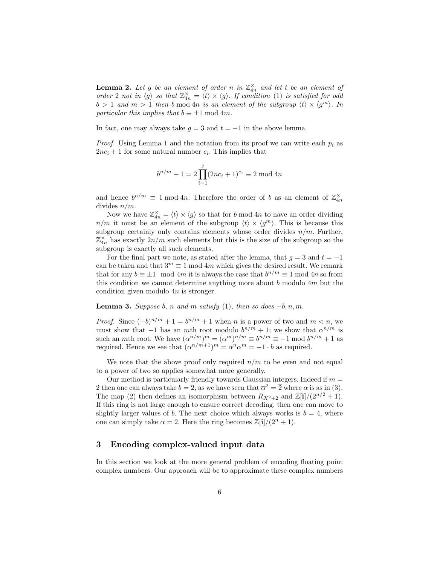**Lemma 2.** Let g be an element of order n in  $\mathbb{Z}_{4n}^{\times}$  and let t be an element of order 2 not in  $\langle g \rangle$  so that  $\mathbb{Z}_{4n}^{\times} = \langle t \rangle \times \langle g \rangle$ . If condition (1) is satisfied for odd  $b > 1$  and  $m > 1$  then b mod 4n is an element of the subgroup  $\langle t \rangle \times \langle g^m \rangle$ . In particular this implies that  $b \equiv \pm 1 \mod 4m$ .

In fact, one may always take  $g = 3$  and  $t = -1$  in the above lemma.

*Proof.* Using Lemma 1 and the notation from its proof we can write each  $p_i$  as  $2nc_i + 1$  for some natural number  $c_i$ . This implies that

$$
b^{n/m} + 1 = 2 \prod_{i=1}^{j} (2nc_i + 1)^{e_i} \equiv 2 \mod 4n
$$

and hence  $b^{n/m} \equiv 1 \mod 4n$ . Therefore the order of b as an element of  $\mathbb{Z}_{4n}^{\times}$ divides  $n/m$ .

Now we have  $\mathbb{Z}_{4n}^{\times} = \langle t \rangle \times \langle g \rangle$  so that for b mod 4n to have an order dividing  $n/m$  it must be an element of the subgroup  $\langle t \rangle \times \langle g^m \rangle$ . This is because this subgroup certainly only contains elements whose order divides  $n/m$ . Further,  $\mathbb{Z}_{4n}^{\times}$  has exactly  $2n/m$  such elements but this is the size of the subgroup so the subgroup is exactly all such elements.

For the final part we note, as stated after the lemma, that  $q = 3$  and  $t = -1$ can be taken and that  $3^m \equiv 1 \mod 4m$  which gives the desired result. We remark that for any  $b \equiv \pm 1 \mod 4m$  it is always the case that  $b^{n/m} \equiv 1 \mod 4n$  so from this condition we cannot determine anything more about  $b$  modulo  $4m$  but the condition given modulo 4n is stronger.

**Lemma 3.** Suppose b, n and m satisfy (1), then so does  $-b, n, m$ .

*Proof.* Since  $(-b)^{n/m} + 1 = b^{n/m} + 1$  when n is a power of two and  $m < n$ , we must show that  $-1$  has an mth root modulo  $b^{n/m} + 1$ ; we show that  $\alpha^{n/m}$  is such an *m*th root. We have  $(\alpha^{n/m})^m = (\alpha^m)^{n/m} \equiv b^{n/m} \equiv -1 \mod b^{n/m} + 1$  as required. Hence we see that  $(\alpha^{n/m+1})^m = \alpha^n \alpha^m = -1 \cdot b$  as required.

We note that the above proof only required  $n/m$  to be even and not equal to a power of two so applies somewhat more generally.

Our method is particularly friendly towards Gaussian integers. Indeed if  $m =$ 2 then one can always take  $b = 2$ , as we have seen that  $\overline{\alpha}^2 = \overline{2}$  where  $\alpha$  is as in (3). The map (2) then defines an isomorphism between  $R_{X^2+2}$  and  $\mathbb{Z}[i]/(2^{n/2}+1)$ . If this ring is not large enough to ensure correct decoding, then one can move to slightly larger values of b. The next choice which always works is  $b = 4$ , where one can simply take  $\alpha = 2$ . Here the ring becomes  $\mathbb{Z}[\mathbf{i}]/(2^n + 1)$ .

## 3 Encoding complex-valued input data

In this section we look at the more general problem of encoding floating point complex numbers. Our approach will be to approximate these complex numbers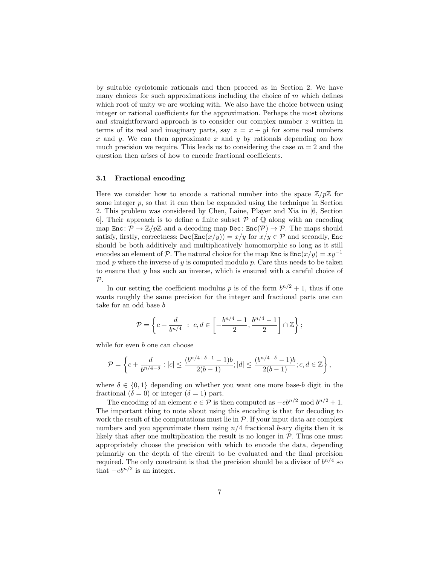by suitable cyclotomic rationals and then proceed as in Section 2. We have many choices for such approximations including the choice of  $m$  which defines which root of unity we are working with. We also have the choice between using integer or rational coefficients for the approximation. Perhaps the most obvious and straightforward approach is to consider our complex number z written in terms of its real and imaginary parts, say  $z = x + y$  if or some real numbers x and y. We can then approximate x and y by rationals depending on how much precision we require. This leads us to considering the case  $m = 2$  and the question then arises of how to encode fractional coefficients.

#### 3.1 Fractional encoding

Here we consider how to encode a rational number into the space  $\mathbb{Z}/p\mathbb{Z}$  for some integer  $p$ , so that it can then be expanded using the technique in Section 2. This problem was considered by Chen, Laine, Player and Xia in [6, Section 6. Their approach is to define a finite subset  $P$  of  $Q$  along with an encoding map  $\text{Enc}: \mathcal{P} \to \mathbb{Z}/p\mathbb{Z}$  and a decoding map  $\text{Dec}: \text{Enc}(\mathcal{P}) \to \mathcal{P}$ . The maps should satisfy, firstly, correctness:  $\text{Dec}(\text{Enc}(x/y)) = x/y$  for  $x/y \in \mathcal{P}$  and secondly, Enc should be both additively and multiplicatively homomorphic so long as it still encodes an element of P. The natural choice for the map Enc is  $Enc(x/y) = xy^{-1}$ mod  $p$  where the inverse of  $y$  is computed modulo  $p$ . Care thus needs to be taken to ensure that y has such an inverse, which is ensured with a careful choice of  $\mathcal{P}.$ 

In our setting the coefficient modulus p is of the form  $b^{n/2} + 1$ , thus if one wants roughly the same precision for the integer and fractional parts one can take for an odd base b

$$
\mathcal{P} = \left\{ c + \frac{d}{b^{n/4}} \ : \ c, d \in \left[ -\frac{b^{n/4} - 1}{2}, \frac{b^{n/4} - 1}{2} \right] \cap \mathbb{Z} \right\};
$$

while for even b one can choose

$$
\mathcal{P} = \left\{ c + \frac{d}{b^{n/4-\delta}} : |c| \le \frac{(b^{n/4+\delta-1}-1)b}{2(b-1)}; |d| \le \frac{(b^{n/4-\delta}-1)b}{2(b-1)}; c, d \in \mathbb{Z} \right\},\
$$

where  $\delta \in \{0,1\}$  depending on whether you want one more base-b digit in the fractional  $(\delta = 0)$  or integer  $(\delta = 1)$  part.

The encoding of an element  $e \in \mathcal{P}$  is then computed as  $-e^{n/2} \mod b^{n/2} + 1$ . The important thing to note about using this encoding is that for decoding to work the result of the computations must lie in  $P$ . If your input data are complex numbers and you approximate them using  $n/4$  fractional b-ary digits then it is likely that after one multiplication the result is no longer in  $P$ . Thus one must appropriately choose the precision with which to encode the data, depending primarily on the depth of the circuit to be evaluated and the final precision required. The only constraint is that the precision should be a divisor of  $b^{n/4}$  so that  $-e^{h^{n/2}}$  is an integer.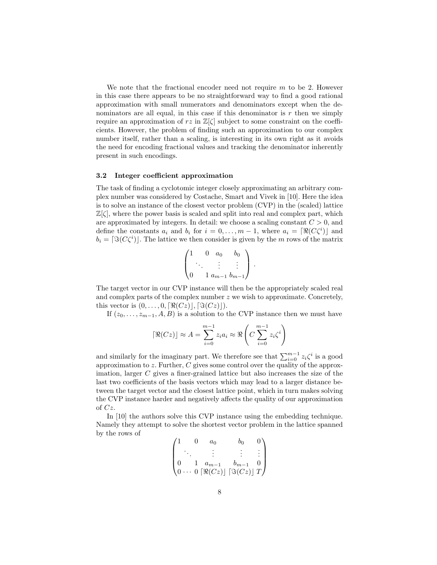We note that the fractional encoder need not require  $m$  to be 2. However in this case there appears to be no straightforward way to find a good rational approximation with small numerators and denominators except when the denominators are all equal, in this case if this denominator is  $r$  then we simply require an approximation of rz in  $\mathbb{Z}[\zeta]$  subject to some constraint on the coefficients. However, the problem of finding such an approximation to our complex number itself, rather than a scaling, is interesting in its own right as it avoids the need for encoding fractional values and tracking the denominator inherently present in such encodings.

#### 3.2 Integer coefficient approximation

The task of finding a cyclotomic integer closely approximating an arbitrary complex number was considered by Costache, Smart and Vivek in [10]. Here the idea is to solve an instance of the closest vector problem (CVP) in the (scaled) lattice  $\mathbb{Z}[\zeta]$ , where the power basis is scaled and split into real and complex part, which are approximated by integers. In detail: we choose a scaling constant  $C > 0$ , and define the constants  $a_i$  and  $b_i$  for  $i = 0, \ldots, m - 1$ , where  $a_i = [\Re(C\zeta^i)]$  and  $b_i = [\Im(C\zeta^i)]$ . The lattice we then consider is given by the m rows of the matrix

$$
\begin{pmatrix} 1 & 0 & a_0 & b_0 \\ \cdot & \cdot & \vdots & \vdots \\ 0 & 1 & a_{m-1} & b_{m-1} \end{pmatrix}.
$$

The target vector in our CVP instance will then be the appropriately scaled real and complex parts of the complex number  $z$  we wish to approximate. Concretely, this vector is  $(0, \ldots, 0, \lceil \Re(Cz) \rceil, \lceil \Im(Cz) \rceil)$ .

If  $(z_0, \ldots, z_{m-1}, A, B)$  is a solution to the CVP instance then we must have

$$
\left[\Re(Cz)\right] \approx A = \sum_{i=0}^{m-1} z_i a_i \approx \Re\left(C \sum_{i=0}^{m-1} z_i \zeta^i\right)
$$

and similarly for the imaginary part. We therefore see that  $\sum_{i=0}^{m-1} z_i \zeta^i$  is a good approximation to z. Further, C gives some control over the quality of the approximation, larger C gives a finer-grained lattice but also increases the size of the last two coefficients of the basis vectors which may lead to a larger distance between the target vector and the closest lattice point, which in turn makes solving the CVP instance harder and negatively affects the quality of our approximation of Cz.

In [10] the authors solve this CVP instance using the embedding technique. Namely they attempt to solve the shortest vector problem in the lattice spanned by the rows of

$$
\begin{pmatrix} 1 & 0 & a_0 & b_0 & 0 \ \cdot & \cdot & \vdots & \vdots & \vdots \\ 0 & 1 & a_{m-1} & b_{m-1} & 0 \\ 0 & \cdot & 0 & \left[ \Re(Cz) \right] \left[ \Im(Cz) \right] T \end{pmatrix}
$$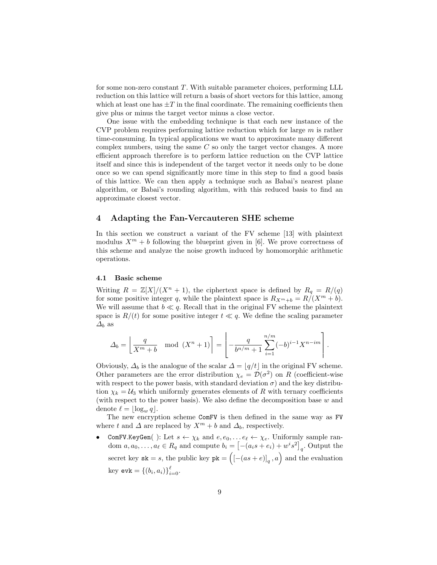for some non-zero constant T. With suitable parameter choices, performing LLL reduction on this lattice will return a basis of short vectors for this lattice, among which at least one has  $\pm T$  in the final coordinate. The remaining coefficients then give plus or minus the target vector minus a close vector.

One issue with the embedding technique is that each new instance of the CVP problem requires performing lattice reduction which for large  $m$  is rather time-consuming. In typical applications we want to approximate many different complex numbers, using the same  $C$  so only the target vector changes. A more efficient approach therefore is to perform lattice reduction on the CVP lattice itself and since this is independent of the target vector it needs only to be done once so we can spend significantly more time in this step to find a good basis of this lattice. We can then apply a technique such as Babai's nearest plane algorithm, or Babai's rounding algorithm, with this reduced basis to find an approximate closest vector.

#### 4 Adapting the Fan-Vercauteren SHE scheme

In this section we construct a variant of the FV scheme [13] with plaintext modulus  $X^m + b$  following the blueprint given in [6]. We prove correctness of this scheme and analyze the noise growth induced by homomorphic arithmetic operations.

#### 4.1 Basic scheme

Writing  $R = \mathbb{Z}[X]/(X^n + 1)$ , the ciphertext space is defined by  $R_q = R/(q)$ for some positive integer q, while the plaintext space is  $R_{X^m+b} = R/(X^m + b)$ . We will assume that  $b \ll q$ . Recall that in the original FV scheme the plaintext space is  $R/(t)$  for some positive integer  $t \ll q$ . We define the scaling parameter  $\Delta_b$  as

$$
\Delta_b = \left[ \frac{q}{X^m + b} \mod (X^n + 1) \right] = \left[ -\frac{q}{b^{n/m} + 1} \sum_{i=1}^{n/m} (-b)^{i-1} X^{n-i m} \right].
$$

Obviously,  $\Delta_b$  is the analogue of the scalar  $\Delta = |q/t|$  in the original FV scheme. Other parameters are the error distribution  $\chi_e = \mathcal{D}(\sigma^2)$  on R (coefficient-wise with respect to the power basis, with standard deviation  $\sigma$ ) and the key distribution  $\chi_k = U_3$  which uniformly generates elements of R with ternary coefficients (with respect to the power basis). We also define the decomposition base w and denote  $\ell = \log_{w} q$ .

The new encryption scheme ComFV is then defined in the same way as FV where t and  $\Delta$  are replaced by  $X^m + b$  and  $\Delta_b$ , respectively.

**ComFV.KeyGen**( ): Let  $s \leftarrow \chi_k$  and  $e, e_0, \ldots e_\ell \leftarrow \chi_e$ . Uniformly sample random  $a, a_0, \ldots, a_\ell \in R_q$  and compute  $b_i = \left[ -(a_i s + e_i) + w^i s^2 \right]_q$ . Output the secret key  $sk = s$ , the public key  $pk = ([-(as + e)]_q, a)$  and the evaluation key **evk** = { $(b_i, a_i)$ } $_{i=0}^{\ell}$ .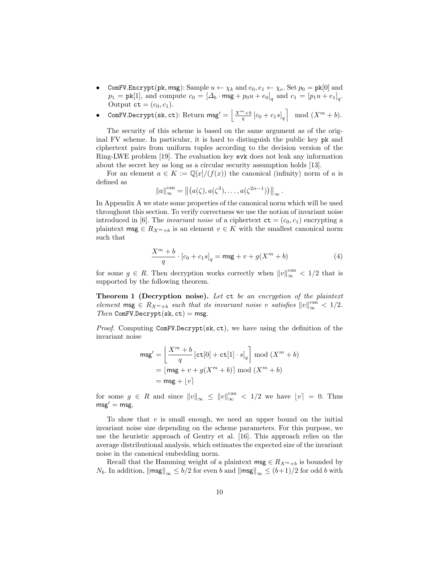- ComFV.Encrypt(pk, msg): Sample  $u \leftarrow \chi_k$  and  $e_0, e_1 \leftarrow \chi_e$ . Set  $p_0 = \text{pk}[0]$  and  $p_1 = \text{pk}[1]$ , and compute  $c_0 = [\Delta_b \cdot \text{msg} + p_0u + e_0]_q$  and  $c_1 = [p_1u + e_1]_q$ . Output  $ct = (c_0, c_1)$ .
- ComFV.Decrypt(sk, ct): Return  $\mathsf{msg}' = \left\lfloor \frac{X^m + b}{q} \left[ c_0 + c_1 s \right]_q \right\rfloor \mod (X^m + b).$

The security of this scheme is based on the same argument as of the original FV scheme. In particular, it is hard to distinguish the public key pk and ciphertext pairs from uniform tuples according to the decision version of the Ring-LWE problem [19]. The evaluation key evk does not leak any information about the secret key as long as a circular security assumption holds [13].

For an element  $a \in K := \mathbb{Q}[x]/(f(x))$  the canonical (infinity) norm of a is defined as

$$
||a||_{\infty}^{\operatorname{can}} = ||(a(\zeta), a(\zeta^3), \dots, a(\zeta^{2n-1}))||_{\infty}.
$$

In Appendix A we state some properties of the canonical norm which will be used throughout this section. To verify correctness we use the notion of invariant noise introduced in [6]. The *invariant noise* of a ciphertext  $ct = (c_0, c_1)$  encrypting a plaintext msg  $\in R_{X^m+b}$  is an element  $v \in K$  with the smallest canonical norm such that

$$
\frac{X^{m} + b}{q} \cdot [c_0 + c_1 s]_q = \max + v + g(X^{m} + b)
$$
 (4)

for some  $g \in R$ . Then decryption works correctly when  $||v||_{\infty}^{\text{can}} < 1/2$  that is supported by the following theorem.

Theorem 1 (Decryption noise). Let ct be an encryption of the plaintext element  $\text{msg } \in R_{X^m+b}$  such that its invariant noise v satisfies  $||v||_{\infty}^{\text{can}} < 1/2$ .  $Then$  ComFV.Decrypt(sk, ct) = msg.

Proof. Computing ComFV.Decrypt(sk, ct), we have using the definition of the invariant noise

$$
\begin{aligned} \mathsf{msg}' &= \left[ \frac{X^m + b}{q} \left[ \mathtt{ct}[0] + \mathtt{ct}[1] \cdot s \right]_q \right] \bmod (X^m + b) \\ &= \left[ \mathsf{msg} + v + g(X^m + b) \right] \bmod (X^m + b) \\ &= \mathsf{msg} + \left\lfloor v \right\rfloor \end{aligned}
$$

for some  $g \in R$  and since  $||v||_{\infty} \le ||v||_{\infty}^{\text{can}} < 1/2$  we have  $|v| = 0$ . Thus  $msg' = msg$ .

To show that  $v$  is small enough, we need an upper bound on the initial invariant noise size depending on the scheme parameters. For this purpose, we use the heuristic approach of Gentry et al. [16]. This approach relies on the average distributional analysis, which estimates the expected size of the invariant noise in the canonical embedding norm.

Recall that the Hamming weight of a plaintext  $\mathsf{msg} \in R_{X^m+b}$  is bounded by  $N_b$ . In addition,  $\|\text{msg}\|_{\infty} \leq b/2$  for even b and  $\|\text{msg}\|_{\infty} \leq (b+1)/2$  for odd b with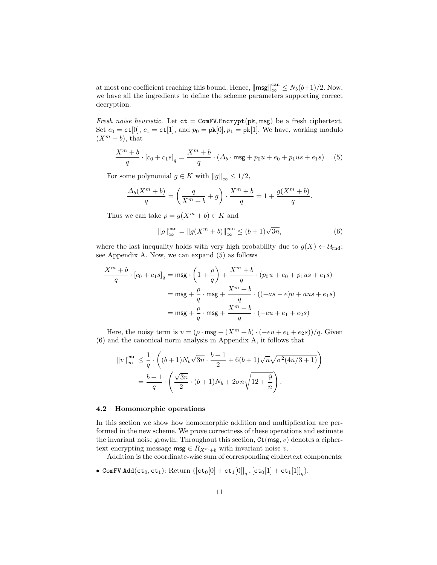at most one coefficient reaching this bound. Hence,  $\|\text{msg}\|_{\infty}^{\text{can}} \leq N_b(b+1)/2$ . Now, we have all the ingredients to define the scheme parameters supporting correct decryption.

Fresh noise heuristic. Let  $ct = \text{ComFV}$ . Encrypt(pk, msg) be a fresh ciphertext. Set  $c_0 = \text{ct}[0], c_1 = \text{ct}[1],$  and  $p_0 = \text{pk}[0], p_1 = \text{pk}[1].$  We have, working modulo  $(X^m + b)$ , that

$$
\frac{X^m + b}{q} \cdot [c_0 + c_1 s]_q = \frac{X^m + b}{q} \cdot (\Delta_b \cdot \text{msg} + p_0 u + e_0 + p_1 u s + e_1 s) \tag{5}
$$

For some polynomial  $g \in K$  with  $||g||_{\infty} \leq 1/2$ ,

$$
\frac{\Delta_b(X^m+b)}{q} = \left(\frac{q}{X^m+b} + g\right) \cdot \frac{X^m+b}{q} = 1 + \frac{g(X^m+b)}{q}.
$$

Thus we can take  $\rho = g(X^m + b) \in K$  and

$$
\|\rho\|_{\infty}^{\text{can}} = \|g(X^m + b)\|_{\infty}^{\text{can}} \le (b+1)\sqrt{3n},
$$
\n(6)

where the last inequality holds with very high probability due to  $g(X) \leftarrow \mathcal{U}_{\text{rnd}}$ ; see Appendix A. Now, we can expand (5) as follows

$$
\frac{X^m + b}{q} \cdot [c_0 + c_1 s]_q = \mathsf{msg} \cdot \left(1 + \frac{\rho}{q}\right) + \frac{X^m + b}{q} \cdot (p_0 u + e_0 + p_1 u s + e_1 s)
$$

$$
= \mathsf{msg} + \frac{\rho}{q} \cdot \mathsf{msg} + \frac{X^m + b}{q} \cdot ((-as - e)u + aus + e_1 s)
$$

$$
= \mathsf{msg} + \frac{\rho}{q} \cdot \mathsf{msg} + \frac{X^m + b}{q} \cdot (-eu + e_1 + e_2 s)
$$

Here, the noisy term is  $v = (\rho \cdot \text{msg} + (X^m + b) \cdot (-eu + e_1 + e_2s))/q$ . Given (6) and the canonical norm analysis in Appendix A, it follows that

$$
||v||_{\infty}^{\text{can}} \le \frac{1}{q} \cdot \left( (b+1)N_b \sqrt{3n} \cdot \frac{b+1}{2} + 6(b+1)\sqrt{n} \sqrt{\sigma^2 (4n/3+1)} \right)
$$
  
=  $\frac{b+1}{q} \cdot \left( \frac{\sqrt{3n}}{2} \cdot (b+1)N_b + 2\sigma n \sqrt{12 + \frac{9}{n}} \right).$ 

#### 4.2 Homomorphic operations

In this section we show how homomorphic addition and multiplication are performed in the new scheme. We prove correctness of these operations and estimate the invariant noise growth. Throughout this section,  $\texttt{Ct}(\text{msg}, v)$  denotes a ciphertext encrypting message  $\mathsf{msg} \in R_{X^m+b}$  with invariant noise v.

Addition is the coordinate-wise sum of corresponding ciphertext components:

• ComFV.Add $(\text{ct}_0, \text{ct}_1)$ : Return  $([\text{ct}_0[0] + \text{ct}_1[0]]_q$ ,  $[\text{ct}_0[1] + \text{ct}_1[1]]_q$ ).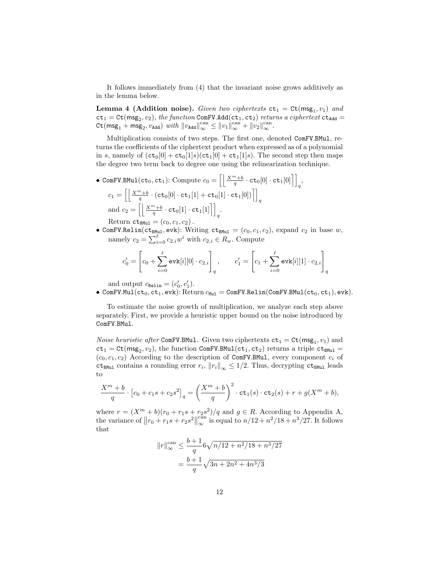It follows immediately from (4) that the invariant noise grows additively as in the lemma below.

**Lemma 4 (Addition noise).** Given two ciphertexts  $ct_1 = Ct(msg_1, v_1)$  and  $ct_1 = Ct(msg_2, v_2)$ , the function ComFV.Add( $ct_1, ct_2$ ) returns a ciphertext  $ct_{Add}$  $\text{Ct}(msg_1 + msg_2, v_{\text{Add}})$  with  $||v_{\text{Add}}||_{\infty}^{\text{can}} \le ||v_1||_{\infty}^{\text{can}} + ||v_2||_{\infty}^{\text{can}}$ .

Multiplication consists of two steps. The first one, denoted ComFV.BMul, returns the coefficients of the ciphertext product when expressed as of a polynomial in s, namely of  $(ct_0[0] + ct_0[1]s)(ct_1[0] + ct_1[1]s)$ . The second step then maps the degree two term back to degree one using the relinearization technique.

- ComFV.BMul(ct<sub>0</sub>, ct<sub>1</sub>): Compute  $c_0 = \left[\left\lfloor \frac{X^m + b}{q} \cdot \texttt{ct}_0[0] \cdot \texttt{ct}_1[0] \right\rceil \right]_q,$  $c_1 = \left[ \left\lfloor \frac{X^m + b}{q} \cdot (\mathtt{ct}_0[0] \cdot \mathtt{ct}_1[1] + \mathtt{ct}_0[1] \cdot \mathtt{ct}_1[0]) \right\rceil \right]_q$ and  $c_2 = \left[ \left[ \frac{X^m + b}{q} \cdot \texttt{ct}_0[1] \cdot \texttt{ct}_1[1] \right] \right]_q$ . Return  $ct_{\text{BMul}} = (c_0, c_1, c_2)$ .
- ComFV.Relin(ct<sub>BMul</sub>, evk): Writing  $ct_{BMu1} = (c_0, c_1, c_2)$ , expand  $c_2$  in base w, namely  $c_2 = \sum_{i=0}^{\ell} c_{2,i} w^i$  with  $c_{2,i} \in R_w$ . Compute

$$
c'_{0} = \left[c_{0} + \sum_{i=0}^{\ell} \text{evk}[i][0] \cdot c_{2,i}\right]_{q}, \qquad c'_{1} = \left[c_{1} + \sum_{i=0}^{\ell} \text{evk}[i][1] \cdot c_{2,i}\right]_{q}
$$

and output  $c_{\text{Relin}} = (c'_0, c'_1)$ .

• ComFV.Mul(ct<sub>0</sub>, ct<sub>1</sub>, evk): Return  $c_{\text{Mul}} = \text{ComFV}$ .Relin(ComFV.BMul(ct<sub>0</sub>, ct<sub>1</sub>), evk).

To estimate the noise growth of multiplication, we analyze each step above separately. First, we provide a heuristic upper bound on the noise introduced by ComFV.BMul.

*Noise heuristic after* ComFV.BMul. Given two ciphertexts  $ct_1 = Ct(msg_1, v_1)$  and  $ct_1 = Ct(msg_2, v_2)$ , the function ComFV.BMul( $ct_1, ct_2$ ) returns a triple  $ct_{BMu1} =$  $(c_0, c_1, c_2)$  According to the description of ComFV.BMul, every component  $c_i$  of  $ct_{BMul}$  contains a rounding error  $r_i$ ,  $||r_i||_{\infty} \leq 1/2$ . Thus, decrypting  $ct_{BMul}$  leads to

$$
\frac{X^{m} + b}{q} \cdot [c_0 + c_1s + c_2s^{2}]_q = \left(\frac{X^{m} + b}{q}\right)^{2} \cdot ct_1(s) \cdot ct_2(s) + r + g(X^{m} + b),
$$

where  $r = (X^m + b)(r_0 + r_1s + r_2s^2)/q$  and  $g \in R$ . According to Appendix A, the variance of  $||r_0 + r_1s + r_2s^2||$  $_{\rm can}$  $\int_{\infty}^{\text{can}}$  is equal to  $n/12 + n^2/18 + n^3/27$ . It follows that

$$
||r||_{\infty}^{\text{can}} \le \frac{b+1}{q} 6\sqrt{n/12 + n^2/18 + n^3/27}
$$

$$
= \frac{b+1}{q} \sqrt{3n + 2n^2 + 4n^3/3}
$$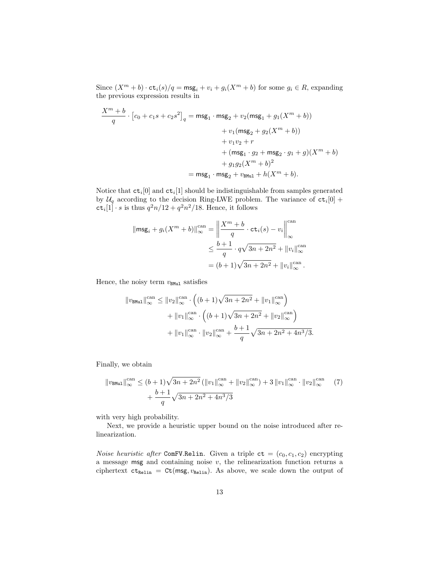Since  $(X^m + b) \cdot ct_i(s)/q = \mathsf{msg}_i + v_i + g_i(X^m + b)$  for some  $g_i \in R$ , expanding the previous expression results in

$$
\frac{X^{m} + b}{q} \cdot [c_{0} + c_{1}s + c_{2}s^{2}]_{q} = \text{msg}_{1} \cdot \text{msg}_{2} + v_{2}(\text{msg}_{1} + g_{1}(X^{m} + b))
$$
  
+  $v_{1}(\text{msg}_{2} + g_{2}(X^{m} + b))$   
+  $v_{1}v_{2} + r$   
+  $(\text{msg}_{1} \cdot g_{2} + \text{msg}_{2} \cdot g_{1} + g)(X^{m} + b)$   
+  $g_{1}g_{2}(X^{m} + b)^{2}$   
=  $\text{msg}_{1} \cdot \text{msg}_{2} + v_{\text{BMul}} + h(X^{m} + b).$ 

Notice that  $\texttt{ct}_i[0]$  and  $\texttt{ct}_i[1]$  should be indistinguishable from samples generated by  $\mathcal{U}_q$  according to the decision Ring-LWE problem. The variance of  $ct_i[0] +$  $\text{ct}_i[1] \cdot s$  is thus  $q^2n/12 + q^2n^2/18$ . Hence, it follows

$$
\|\mathsf{msg}_i + g_i(X^m + b)\|_{\infty}^{\text{can}} = \left\|\frac{X^m + b}{q} \cdot \mathtt{ct}_i(s) - v_i\right\|_{\infty}^{\text{can}}
$$

$$
\leq \frac{b+1}{q} \cdot q\sqrt{3n + 2n^2} + \|v_i\|_{\infty}^{\text{can}}
$$

$$
= (b+1)\sqrt{3n + 2n^2} + \|v_i\|_{\infty}^{\text{can}}.
$$

Hence, the noisy term  $v_{\text{BMul}}$  satisfies

$$
||v_{BMu1}||_{\infty}^{\text{can}} \le ||v_2||_{\infty}^{\text{can}} \cdot \left( (b+1)\sqrt{3n+2n^2} + ||v_1||_{\infty}^{\text{can}} \right) + ||v_1||_{\infty}^{\text{can}} \cdot \left( (b+1)\sqrt{3n+2n^2} + ||v_2||_{\infty}^{\text{can}} \right) + ||v_1||_{\infty}^{\text{can}} \cdot ||v_2||_{\infty}^{\text{can}} + \frac{b+1}{q} \sqrt{3n+2n^2+4n^3/3}.
$$

Finally, we obtain

$$
||v_{\text{BMul}}||_{\infty}^{\text{can}} \le (b+1)\sqrt{3n+2n^2} (||v_1||_{\infty}^{\text{can}} + ||v_2||_{\infty}^{\text{can}}) + 3 ||v_1||_{\infty}^{\text{can}} \cdot ||v_2||_{\infty}^{\text{can}} \tag{7}
$$

$$
+ \frac{b+1}{q} \sqrt{3n+2n^2+4n^3/3}
$$

with very high probability.

Next, we provide a heuristic upper bound on the noise introduced after relinearization.

*Noise heuristic after* ComFV.Relin. Given a triple  $ct = (c_0, c_1, c_2)$  encrypting a message  $msg$  and containing noise  $v$ , the relinearization function returns a ciphertext  $ct_{\text{Relin}} = Ct(msg, v_{\text{Relin}})$ . As above, we scale down the output of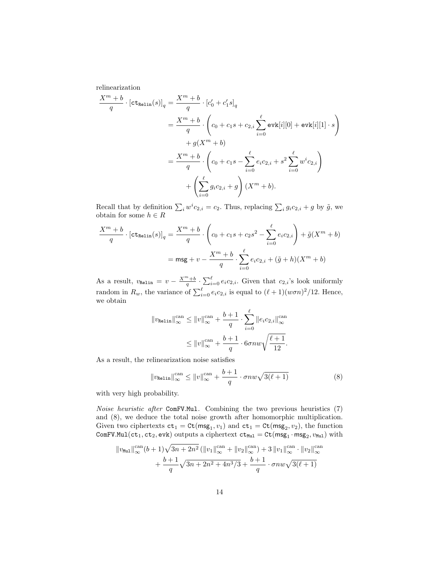relinearization

$$
\frac{X^{m} + b}{q} \cdot [\text{ct}_{\text{Relin}}(s)]_{q} = \frac{X^{m} + b}{q} \cdot [c'_{0} + c'_{1}s]_{q}
$$
\n
$$
= \frac{X^{m} + b}{q} \cdot \left(c_{0} + c_{1}s + c_{2,i} \sum_{i=0}^{\ell} \text{evk}[i][0] + \text{evk}[i][1] \cdot s\right)
$$
\n
$$
+ g(X^{m} + b)
$$
\n
$$
= \frac{X^{m} + b}{q} \cdot \left(c_{0} + c_{1}s - \sum_{i=0}^{\ell} e_{i}c_{2,i} + s^{2} \sum_{i=0}^{\ell} w^{i}c_{2,i}\right)
$$
\n
$$
+ \left(\sum_{i=0}^{\ell} g_{i}c_{2,i} + g\right)(X^{m} + b).
$$

Recall that by definition  $\sum_i w^i c_{2,i} = c_2$ . Thus, replacing  $\sum_i g_i c_{2,i} + g$  by  $\tilde{g}$ , we obtain for some  $h \in R$ 

$$
\frac{X^m + b}{q} \cdot \left[ct_{\text{Relin}}(s)\right]_q = \frac{X^m + b}{q} \cdot \left(c_0 + c_1s + c_2s^2 - \sum_{i=0}^{\ell} e_i c_{2,i}\right) + \tilde{g}(X^m + b)
$$

$$
= \text{msg} + v - \frac{X^m + b}{q} \cdot \sum_{i=0}^{\ell} e_i c_{2,i} + (\tilde{g} + h)(X^m + b)
$$

As a result,  $v_{\text{Relin}} = v - \frac{X^m + b}{q} \cdot \sum_{i=0}^{\ell} e_i c_{2,i}$ . Given that  $c_{2,i}$ 's look uniformly random in  $R_w$ , the variance of  $\sum_{i=0}^{\ell} e_i c_{2,i}$  is equal to  $(\ell + 1)(w\sigma n)^2/12$ . Hence, we obtain

$$
||v_{\text{Relin}}||_{\infty}^{\text{can}} \le ||v||_{\infty}^{\text{can}} + \frac{b+1}{q} \cdot \sum_{i=0}^{\ell} ||e_i c_{2,i}||_{\infty}^{\text{can}}
$$

$$
\le ||v||_{\infty}^{\text{can}} + \frac{b+1}{q} \cdot 6\sigma n w \sqrt{\frac{\ell+1}{12}}.
$$

As a result, the relinearization noise satisfies

$$
||v_{\text{Relin}}||_{\infty}^{\text{can}} \le ||v||_{\infty}^{\text{can}} + \frac{b+1}{q} \cdot \sigma n w \sqrt{3(\ell+1)}
$$
(8)

with very high probability.

Noise heuristic after ComFV.Mul. Combining the two previous heuristics (7) and (8), we deduce the total noise growth after homomorphic multiplication. Given two ciphertexts  $ct_1 = Ct(msg_1, v_1)$  and  $ct_1 = Ct(msg_2, v_2)$ , the function  $\texttt{ComFV.Mul}(\texttt{ct}_1, \texttt{ct}_2, \texttt{evk})$  outputs a ciphertext  $\texttt{ct}_{\texttt{Mul}} = \texttt{Ct}(\texttt{msg}_1 \cdot \texttt{msg}_2, v_{\texttt{Mul}})$  with

$$
||v_{\text{Mul}}||_{\infty}^{\text{can}}(b+1)\sqrt{3n+2n^2} (||v_1||_{\infty}^{\text{can}} + ||v_2||_{\infty}^{\text{can}}) + 3 ||v_1||_{\infty}^{\text{can}} \cdot ||v_2||_{\infty}^{\text{can}}
$$

$$
+ \frac{b+1}{q} \sqrt{3n+2n^2+4n^3/3} + \frac{b+1}{q} \cdot \sigma n w \sqrt{3(\ell+1)}
$$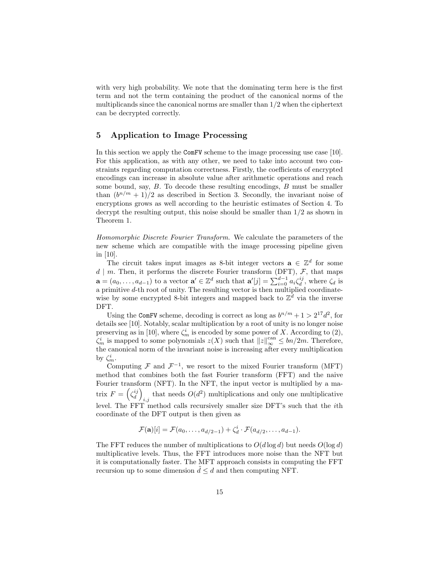with very high probability. We note that the dominating term here is the first term and not the term containing the product of the canonical norms of the multiplicands since the canonical norms are smaller than 1/2 when the ciphertext can be decrypted correctly.

## 5 Application to Image Processing

In this section we apply the ComFV scheme to the image processing use case [10]. For this application, as with any other, we need to take into account two constraints regarding computation correctness. Firstly, the coefficients of encrypted encodings can increase in absolute value after arithmetic operations and reach some bound, say,  $B$ . To decode these resulting encodings,  $B$  must be smaller than  $(b^{n/m} + 1)/2$  as described in Section 3. Secondly, the invariant noise of encryptions grows as well according to the heuristic estimates of Section 4. To decrypt the resulting output, this noise should be smaller than 1/2 as shown in Theorem 1.

Homomorphic Discrete Fourier Transform. We calculate the parameters of the new scheme which are compatible with the image processing pipeline given in [10].

The circuit takes input images as 8-bit integer vectors  $\mathbf{a} \in \mathbb{Z}^d$  for some  $d \mid m$ . Then, it performs the discrete Fourier transform (DFT),  $F$ , that maps  $\mathbf{a} = (a_0, \dots, a_{d-1})$  to a vector  $\mathbf{a}' \in \mathbb{Z}^d$  such that  $\mathbf{a}'[j] = \sum_{i=0}^{d-1} a_i \zeta_d^{ij}$ , where  $\zeta_d$  is a primitive d-th root of unity. The resulting vector is then multiplied coordinatewise by some encrypted 8-bit integers and mapped back to  $\mathbb{Z}^d$  via the inverse DFT.

Using the ComFV scheme, decoding is correct as long as  $b^{n/m} + 1 > 2^{17}d^2$ , for details see [10]. Notably, scalar multiplication by a root of unity is no longer noise preserving as in [10], where  $\zeta_m^i$  is encoded by some power of X. According to (2),  $\zeta_m^i$  is mapped to some polynomials  $z(X)$  such that  $||z||_{\infty}^{\text{can}} \leq bn/2m$ . Therefore, the canonical norm of the invariant noise is increasing after every multiplication by  $\zeta_m^i$ .

Computing  $\mathcal F$  and  $\mathcal F^{-1}$ , we resort to the mixed Fourier transform (MFT) method that combines both the fast Fourier transform (FFT) and the naive Fourier transform (NFT). In the NFT, the input vector is multiplied by a matrix  $F = \left(\zeta_d^{ij}\right)$ that needs  $O(d^2)$  multiplications and only one multiplicative level. The FFT method calls recursively smaller size DFT's such that the ith coordinate of the DFT output is then given as

$$
\mathcal{F}(\mathbf{a})[i] = \mathcal{F}(a_0,\ldots,a_{d/2-1}) + \zeta_d^i \cdot \mathcal{F}(a_{d/2},\ldots,a_{d-1}).
$$

The FFT reduces the number of multiplications to  $O(d \log d)$  but needs  $O(\log d)$ multiplicative levels. Thus, the FFT introduces more noise than the NFT but it is computationally faster. The MFT approach consists in computing the FFT recursion up to some dimension  $\tilde{d} \leq d$  and then computing NFT.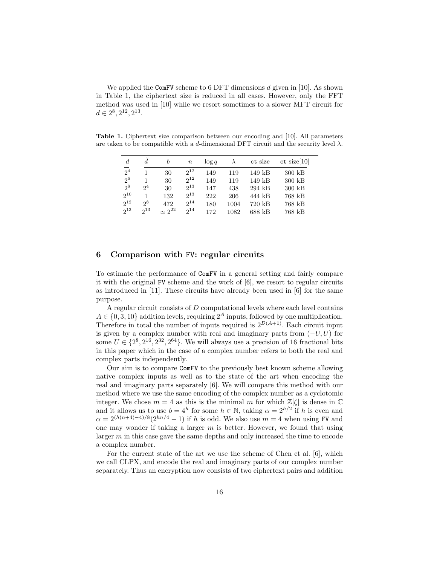We applied the ComFV scheme to 6 DFT dimensions d given in [10]. As shown in Table 1, the ciphertext size is reduced in all cases. However, only the FFT method was used in [10] while we resort sometimes to a slower MFT circuit for  $d \in 2^8, 2^{12}, 2^{13}.$ 

Table 1. Ciphertext size comparison between our encoding and [10]. All parameters are taken to be compatible with a d-dimensional DFT circuit and the security level  $\lambda$ .

| $\boldsymbol{d}$ | $\boldsymbol{d}$ | b             | $\boldsymbol{n}$ | $\log q$ | $\lambda$ | ct size  | ct size[10] |
|------------------|------------------|---------------|------------------|----------|-----------|----------|-------------|
| $\overline{2^4}$ |                  | 30            | $2^{12}$         | 149      | 119       | $149$ kB | $300$ kB    |
| $2^6$            |                  | 30            | $2^{12}$         | 149      | 119       | $149$ kB | $300$ kB    |
| $2^8$            | 2 <sup>4</sup>   | 30            | $2^{13}$         | 147      | 438       | $294$ kB | $300$ kB    |
| $2^{10}$         |                  | 132           | $2^{13}$         | 222      | 206       | 444 kB   | 768 kB      |
| $2^{12}$         | $2^8$            | 472           | $2^{14}$         | 180      | 1004      | $720$ kB | 768 kB      |
| $2^{13}$         | $2^{13}$         | $\sim 2^{22}$ | $2^{14}$         | 172      | 1082      | 688 kB   | 768 kB      |

## 6 Comparison with FV: regular circuits

To estimate the performance of ComFV in a general setting and fairly compare it with the original FV scheme and the work of [6], we resort to regular circuits as introduced in [11]. These circuits have already been used in [6] for the same purpose.

A regular circuit consists of D computational levels where each level contains  $A \in \{0, 3, 10\}$  addition levels, requiring  $2^A$  inputs, followed by one multiplication. Therefore in total the number of inputs required is  $2^{D(A+1)}$ . Each circuit input is given by a complex number with real and imaginary parts from  $(-U, U)$  for some  $U \in \{2^8, 2^{16}, 2^{32}, 2^{64}\}\.$  We will always use a precision of 16 fractional bits in this paper which in the case of a complex number refers to both the real and complex parts independently.

Our aim is to compare ComFV to the previously best known scheme allowing native complex inputs as well as to the state of the art when encoding the real and imaginary parts separately [6]. We will compare this method with our method where we use the same encoding of the complex number as a cyclotomic integer. We chose  $m = 4$  as this is the minimal m for which  $\mathbb{Z}[\zeta]$  is dense in  $\mathbb{C}$ and it allows us to use  $b = 4^h$  for some  $h \in \mathbb{N}$ , taking  $\alpha = 2^{h/2}$  if h is even and  $\alpha = 2^{(h(n+4)-4)/8} (2^{hn/4} - 1)$  if h is odd. We also use  $m = 4$  when using FV and one may wonder if taking a larger  $m$  is better. However, we found that using larger m in this case gave the same depths and only increased the time to encode a complex number.

For the current state of the art we use the scheme of Chen et al. [6], which we call CLPX, and encode the real and imaginary parts of our complex number separately. Thus an encryption now consists of two ciphertext pairs and addition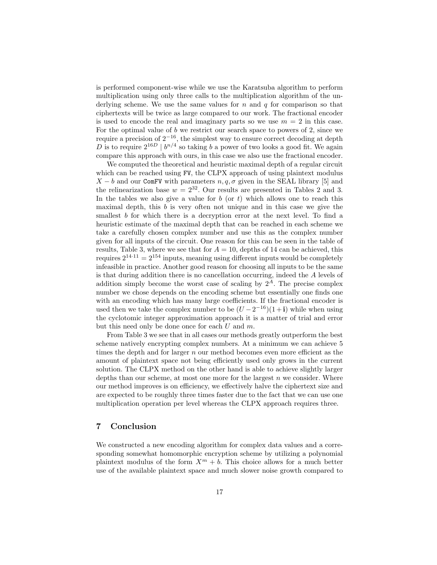is performed component-wise while we use the Karatsuba algorithm to perform multiplication using only three calls to the multiplication algorithm of the underlying scheme. We use the same values for n and q for comparison so that ciphertexts will be twice as large compared to our work. The fractional encoder is used to encode the real and imaginary parts so we use  $m = 2$  in this case. For the optimal value of  $b$  we restrict our search space to powers of 2, since we require a precision of  $2^{-16}$ , the simplest way to ensure correct decoding at depth D is to require  $2^{16D}$  |  $b^{n/4}$  so taking b a power of two looks a good fit. We again compare this approach with ours, in this case we also use the fractional encoder.

We computed the theoretical and heuristic maximal depth of a regular circuit which can be reached using FV, the CLPX approach of using plaintext modulus  $X - b$  and our ComFV with parameters  $n, q, \sigma$  given in the SEAL library [5] and the relinearization base  $w = 2^{32}$ . Our results are presented in Tables 2 and 3. In the tables we also give a value for  $b$  (or  $t$ ) which allows one to reach this maximal depth, this  $b$  is very often not unique and in this case we give the smallest b for which there is a decryption error at the next level. To find a heuristic estimate of the maximal depth that can be reached in each scheme we take a carefully chosen complex number and use this as the complex number given for all inputs of the circuit. One reason for this can be seen in the table of results, Table 3, where we see that for  $A = 10$ , depths of 14 can be achieved, this requires  $2^{14 \cdot 11} = 2^{154}$  inputs, meaning using different inputs would be completely infeasible in practice. Another good reason for choosing all inputs to be the same is that during addition there is no cancellation occurring, indeed the A levels of addition simply become the worst case of scaling by  $2^A$ . The precise complex number we chose depends on the encoding scheme but essentially one finds one with an encoding which has many large coefficients. If the fractional encoder is used then we take the complex number to be  $(U - 2^{-16})(1 + i)$  while when using the cyclotomic integer approximation approach it is a matter of trial and error but this need only be done once for each  $U$  and  $m$ .

From Table 3 we see that in all cases our methods greatly outperform the best scheme natively encrypting complex numbers. At a minimum we can achieve 5 times the depth and for larger  $n$  our method becomes even more efficient as the amount of plaintext space not being efficiently used only grows in the current solution. The CLPX method on the other hand is able to achieve slightly larger depths than our scheme, at most one more for the largest  $n$  we consider. Where our method improves is on efficiency, we effectively halve the ciphertext size and are expected to be roughly three times faster due to the fact that we can use one multiplication operation per level whereas the CLPX approach requires three.

#### 7 Conclusion

We constructed a new encoding algorithm for complex data values and a corresponding somewhat homomorphic encryption scheme by utilizing a polynomial plaintext modulus of the form  $X^m + b$ . This choice allows for a much better use of the available plaintext space and much slower noise growth compared to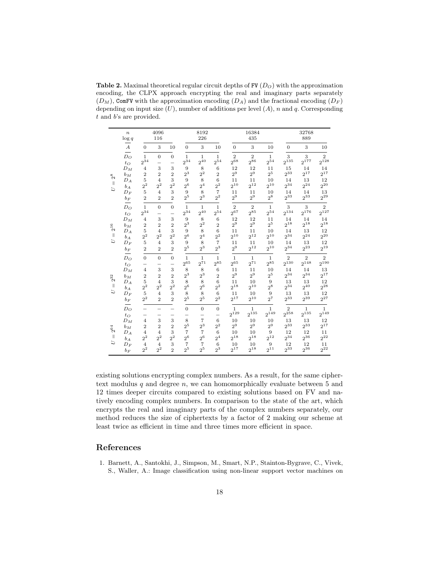Table 2. Maximal theoretical regular circuit depths of FV  $(D<sub>O</sub>)$  with the approximation encoding, the CLPX approach encrypting the real and imaginary parts separately  $(D_M)$ , ComFV with the approximation encoding  $(D_A)$  and the fractional encoding  $(D_F)$ depending on input size  $(U)$ , number of additions per level  $(A)$ , n and q. Corresponding t and b's are provided.

|              | $\boldsymbol{n}$<br>$\log q$ | 4096<br>116                   |                                            |                                      | 8192<br>226                      |                                     |                                      |                            | 16384<br>435               |                            |                             | 32768<br>889                |                             |  |
|--------------|------------------------------|-------------------------------|--------------------------------------------|--------------------------------------|----------------------------------|-------------------------------------|--------------------------------------|----------------------------|----------------------------|----------------------------|-----------------------------|-----------------------------|-----------------------------|--|
|              | $\boldsymbol{A}$             | $\overline{0}$                | 3                                          | 10                                   | $\mathbf{0}$                     | 3                                   | 10                                   | $\mathbf{0}$               | 3                          | 10                         | $\mathbf{0}$                | 3                           | 10                          |  |
|              | $D_O$<br>$t_{O}$             | $\mathbf{1}$<br>$2^{34}$      | $\theta$<br>-                              | $\theta$<br>-                        | $\mathbf{1}$<br>$2^{34}$         | $\mathbf{1}$<br>$2^{40}$            | $\mathbf{1}$<br>$2^{54}$             | $\overline{2}$<br>$2^{68}$ | $\overline{2}$<br>$2^{86}$ | $\mathbf{1}$<br>$2^{54}\,$ | 3<br>$2^{135}$              | 3<br>$2^{177}$              | $\overline{2}$<br>$2^{128}$ |  |
| $2^8$        | $D_M$                        | $\overline{4}$                | 3                                          | 3                                    | 9                                | 8                                   | 6                                    | 12                         | 12                         | 11                         | 15                          | 14<br>$2^{17}$              | 14                          |  |
|              | $b_M$<br>$D_A$               | $\overline{2}$<br>5           | $\overline{2}$<br>$\overline{4}$           | $\overline{2}$<br>3                  | $2^3$<br>9                       | $\mathbf{2}^2$<br>8                 | $\overline{2}$<br>6                  | $2^9$<br>11                | 2 <sup>9</sup><br>11       | 2 <sup>5</sup><br>10       | $2^{33}$<br>14              | 13                          | $2^{17}$<br>12              |  |
| $\parallel$  | $b_A$                        | $2^2$                         | $2^2$                                      | $2^2$                                | $2^6$                            | 2 <sup>4</sup>                      | $2^2$                                | $2^{10}\,$                 | $2^{12}$                   | $2^{10}$                   | $2^{34}$                    | $2^{24}$                    | $2^{20}$                    |  |
| Þ            | $D_F$                        | $\bf 5$                       | $\overline{4}$                             | 3                                    | 9                                | 8                                   | $\overline{7}$                       | 11                         | 11                         | 10                         | 14                          | 14                          | 13                          |  |
|              | $b_{\cal F}$                 | $\overline{2}$                | $\overline{2}$                             | $\overline{2}$                       | 2 <sup>5</sup>                   | $2^3$                               | 2 <sup>2</sup>                       | $2^9$                      | $2^9$                      | $2^8$                      | $2^{33}$                    | $2^{33}$                    | $2^{29}$                    |  |
|              | $D_O$<br>$t_{O}$             | $\,1\,$<br>$2^{34}$           | $\theta$<br>$\overline{\phantom{0}}$       | $\theta$<br>$\overline{\phantom{0}}$ | $\mathbf{1}$<br>$2^{34}$         | $\mathbf{1}$<br>$2^{40}$            | $\mathbf{1}$<br>$2^{54}$             | $\overline{2}$<br>$2^{67}$ | $\overline{2}$<br>$2^{85}$ | $\mathbf{1}$<br>$2^{54}$   | $\sqrt{3}$<br>$2^{134}$     | 3<br>$2^{176}$              | $\overline{2}$<br>$2^{127}$ |  |
|              | $D_M$                        | $\overline{4}$                | 3                                          | 3                                    | 9                                | 8                                   | 6                                    | 12                         | 12                         | 11                         | 14                          | 14                          | 14                          |  |
| $2^{16}\,$   | $b_M$                        | $\overline{2}$                | $\overline{2}$                             | $\overline{2}$                       | $2^3\,$                          | $2^2\,$                             | $\overline{2}$                       | $2^9$                      | 2 <sup>9</sup>             | 2 <sup>5</sup>             | $2^{18}$                    | $2^{18}$                    | $2^{18}$                    |  |
| $\parallel$  | $D_A$<br>$b_A$               | 5<br>$2^2$                    | $\overline{4}$<br>2 <sup>2</sup>           | 3<br>$2^{\mathrm{2}}$                | 9<br>$2^6$                       | 8<br>2 <sup>4</sup>                 | 6<br>$\mathbf{2}^2$                  | 11<br>$2^{10}$             | 11<br>$2^{12}$             | 10<br>$2^{10}$             | 14<br>$2^{34}$              | 13<br>$2^{24}$              | 12<br>$2^{20}$              |  |
| Þ            | $D_F$                        | 5                             | $\overline{4}$                             | 3                                    | 9                                | 8                                   | $\overline{7}$                       | 11                         | 11                         | 10                         | 14                          | 13                          | 12                          |  |
|              | $b_F$                        | $\overline{2}$                | $\overline{2}$                             | $\overline{2}$                       | 2 <sup>5</sup>                   | $2^3$                               | $2^3$                                | 2 <sup>9</sup>             | $2^{12}$                   | $2^{10}$                   | $2^{34}$                    | $2^{23}$                    | $2^{19}$                    |  |
|              | $D_O$<br>$t_{O}$             | $\overline{0}$<br>-           | $\overline{0}$<br>$\overline{\phantom{0}}$ | $\theta$<br>$\overline{\phantom{0}}$ | $\mathbf{1}$<br>$2^{65}\,$       | $\mathbf{1}$<br>$2^{71}$            | $\mathbf{1}$<br>$2^{85}$             | $\mathbf{1}$<br>$2^{65}$   | $\mathbf{1}$<br>$2^{71}$   | $\mathbf{1}$<br>$2^{85}$   | 2<br>$2^{130}$              | $\overline{2}$<br>$2^{148}$ | $\overline{2}$<br>$2^{190}$ |  |
|              | $D_M$                        | $\overline{4}$                | 3                                          | 3                                    | 8                                | 8                                   | 6                                    | 11                         | 11                         | 10                         | 14                          | 14                          | 13                          |  |
| $2^{32}$     | $b_M$                        | $\overline{2}$                | $\overline{2}$                             | $\overline{2}$                       | $2^3$                            | $2^3\,$                             | $\overline{2}$                       | 2 <sup>9</sup>             | 2 <sup>9</sup>             | 2 <sup>5</sup>             | $2^{34}$                    | $2^{34}$                    | $2^{17}$                    |  |
| $\mathbb{I}$ | $D_A$<br>$b_A$               | 5<br>$2^2$                    | $\overline{4}$<br>2 <sup>2</sup>           | 3<br>$2^{\mathrm{2}}$                | 8<br>2 <sup>6</sup>              | 8<br>2 <sup>6</sup>                 | 6<br>$2^2$                           | 11<br>$2^{18}$             | 10<br>$2^{10}$             | 9<br>$2^8\,$               | 13<br>$2^{34}$              | 13<br>$2^{40}$              | 12<br>$2^{28}$              |  |
| ゴ            | $D_F$                        | $\,$ 5                        | $\overline{4}$                             | 3                                    | 8                                | 8                                   | 6                                    | 11                         | 10                         | 9                          | 13                          | 13                          | 12                          |  |
|              | $b_F$                        | $2^2$                         | $\overline{2}$                             | $\overline{2}$                       | $2^5$                            | $2^5\,$                             | $2^2$                                | $2^{17}$                   | $2^{10}$                   | $2^7$                      | $2^{33}$                    | $2^{39}$                    | $2^{27}$                    |  |
|              | $D_{O}$<br>$t_{O}$           | $\overline{\phantom{0}}$<br>— | $\overbrace{\phantom{123221111}}$<br>—     | $\overline{\phantom{0}}$<br>—        | $\theta$<br>—                    | $\overline{0}$<br>$\qquad \qquad -$ | $\theta$<br>$\overline{\phantom{0}}$ | $\mathbf{1}$<br>$2^{129}$  | $\mathbf{1}$<br>$2^{135}$  | $\mathbf{1}$<br>$2^{149}$  | $\overline{2}$<br>$2^{258}$ | $\mathbf{1}$<br>$2^{135}$   | $\mathbf{1}$<br>$2^{149}$   |  |
|              | $D_M$                        | $\overline{4}$                | 3                                          | 3                                    | 8                                | $\overline{7}$                      | 6                                    | 10                         | 10                         | 10                         | 13                          | 13                          | 12                          |  |
| $2^{64}\,$   | $b_M$                        | $\overline{2}$                | $\overline{2}$                             | $\overline{2}$                       | 2 <sup>5</sup>                   | $2^3$                               | 2 <sup>2</sup>                       | 2 <sup>9</sup>             | 2 <sup>9</sup>             | $2^9$                      | 233                         | 233                         | $2^{17}$                    |  |
| $\parallel$  | $D_A$                        | $\overline{4}$                | $\overline{4}$                             | 3                                    | $\overline{7}$                   | $\overline{7}$                      | 6                                    | 10                         | 10                         | 9                          | 12<br>$2^{34}$              | 12                          | 11<br>$2^{22}$              |  |
| Þ            | $b_A$<br>${\cal D}_F$        | $2^2$<br>$\overline{4}$       | $2^2$<br>$\overline{4}$                    | $2^2$<br>$\,3$                       | 2 <sup>6</sup><br>$\overline{7}$ | 2 <sup>6</sup><br>$\overline{7}$    | 2 <sup>4</sup><br>6                  | $2^{18}$<br>10             | $2^{18}$<br>10             | $2^{12}$<br>$\overline{9}$ | 12                          | $2^{36}$<br>12              | 11                          |  |
|              | $b_F$                        | $2^{\mathrm{2}}$              | $2^2$                                      | $\overline{2}$                       | 2 <sup>5</sup>                   | 2 <sub>0</sub>                      | $2^3\,$                              | $2^{17}$                   | $2^{18}$                   | $2^{11}$                   | $2^{33}$                    | $2^{36}$                    | $2^{22}$                    |  |

existing solutions encrypting complex numbers. As a result, for the same ciphertext modulus  $q$  and degree  $n$ , we can homomorphically evaluate between  $5$  and 12 times deeper circuits compared to existing solutions based on FV and natively encoding complex numbers. In comparison to the state of the art, which encrypts the real and imaginary parts of the complex numbers separately, our method reduces the size of ciphertexts by a factor of 2 making our scheme at least twice as efficient in time and three times more efficient in space.

# References

1. Barnett, A., Santokhi, J., Simpson, M., Smart, N.P., Stainton-Bygrave, C., Vivek, S., Waller, A.: Image classification using non-linear support vector machines on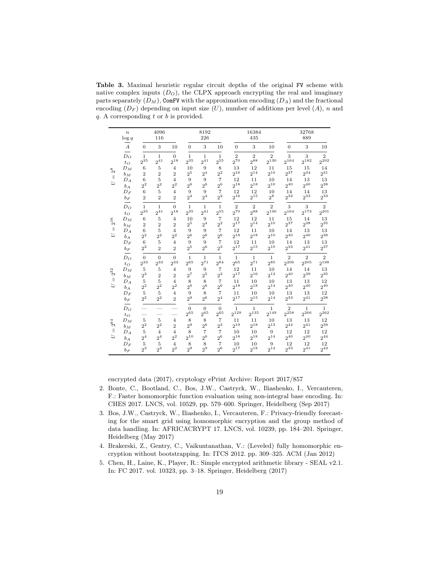Table 3. Maximal heuristic regular circuit depths of the original FV scheme with native complex inputs  $(D<sub>O</sub>)$ , the CLPX approach encrypting the real and imaginary parts separately  $(D_M)$ , ComFV with the approximation encoding  $(D_A)$  and the fractional encoding  $(D_F)$  depending on input size  $(U)$ , number of additions per level  $(A)$ , n and  $q. A$  corresponding  $t$  or  $b$  is provided.

|                | $\boldsymbol{n}$ | 4096           |                          |                          | 8192                         |                            |                      | 16384                     |                           |                           | 32768                       |                           |                           |
|----------------|------------------|----------------|--------------------------|--------------------------|------------------------------|----------------------------|----------------------|---------------------------|---------------------------|---------------------------|-----------------------------|---------------------------|---------------------------|
|                | $\log q$         | 116            |                          |                          | 226                          |                            |                      | 435                       |                           |                           | 889                         |                           |                           |
|                | $\boldsymbol{A}$ | $\overline{0}$ | 3                        | 10                       | $\overline{0}$               | 3                          | 10                   | $\overline{0}$            | 3                         | 10                        | $\theta$                    | 3                         | 10                        |
|                | $D_{O}$          | $\mathbf{1}$   | $\mathbf{1}$             | $\theta$                 | $\mathbf{1}$                 | $\mathbf{1}$               | $\mathbf{1}$         | $\overline{2}$            | $\overline{2}$            | $\overline{2}$            | 3                           | 3                         | $\overline{2}$            |
|                | $t_{O}$          | $2^{35}$       | $2^{41}$                 | $2^{18}$                 | $2^{35}$                     | $2^{41}$                   | $2^{55}$             | $2^{70}$                  | $2^{88}$                  | $2^{130}$                 | $2^{164}$                   | $2^{182}$                 | $2^{202}$                 |
| $\mathbb{S}^8$ | $D_M$            | 6              | 5                        | $\overline{4}$           | 10                           | 9                          | 8                    | 13                        | 12                        | 11                        | 15                          | 15                        | 14                        |
|                | $b_M$            | $\overline{2}$ | $\overline{2}$           | $\overline{2}$           | 2 <sup>5</sup>               | 2 <sup>4</sup>             | $2^2$                | 216                       | $2^{14}$                  | $2^{10}$                  | $2^{37}$                    | 234                       | $2^{31}$                  |
| $\mathbb{I}$   | $D_A$            | 6              | 5                        | $\overline{4}$           | 9                            | 9                          | $\overline{7}$       | 12                        | 11                        | 10                        | 14                          | 13                        | 13                        |
| Þ              | $b_A$            | 2 <sup>2</sup> | $2^2$                    | $2^{2}$                  | 2 <sup>6</sup>               | 2 <sup>6</sup>             | 2 <sub>0</sub>       | $2^{18}$                  | $2^{18}$                  | $2^{10}$                  | $2^{40}$                    | 240                       | $2^{38}$                  |
|                | $D_F$            | 6              | 5                        | $\overline{4}$           | 9                            | 9                          | $\overline{7}$       | 12                        | 12                        | 10                        | 14                          | 14                        | 13                        |
|                | $b_F$            | $\overline{2}$ | $\overline{2}$           | $\overline{2}$           | 2 <sup>4</sup>               | 2 <sup>4</sup>             | 2 <sup>2</sup>       | 216                       | $2^{15}$                  | $2^8$                     | $2^{32}$                    | $2^{33}$                  | $2^{33}$                  |
|                | $D_O$            | $\mathbf{1}$   | $\mathbf{1}$             | $\Omega$                 | $\mathbf{1}$                 | $\mathbf{1}$               | 1                    | $\overline{2}$            | $\overline{2}$            | $\overline{2}$            | 3                           | 3                         | $\overline{2}$            |
|                | $t_{O}$          | $2^{35}\,$     | $2^{41}$                 | $2^{18}$                 | $2^{35}$                     | $2^{41}$                   | 2 <sup>55</sup>      | $2^{70}$                  | $2^{88}$                  | 2130                      | $2^{164}$                   | 2173                      | $2^{201}$                 |
| $2^{16}\,$     | $D_M$            | 6              | 5                        | 4                        | 10                           | 9                          | 7                    | 12                        | 12                        | 11                        | 15                          | 14                        | 13                        |
|                | $b_M$            | $\overline{2}$ | $\overline{2}$           | $\overline{2}$           | 2 <sup>5</sup>               | 2 <sup>4</sup>             | $2^2$                | $2^{17}$                  | $2^{14}$                  | $2^{10}$                  | $2^{37}$                    | $2^{38}$                  | $2^{35}$                  |
| H              | $D_A$            | 6              | 5                        | 4                        | 9                            | 9                          | 7                    | 12                        | 11                        | 10                        | 14                          | 13                        | 13                        |
| D              | $b_A$            | $2^2$          | $2^2$                    | $\mathbf{2}^2$           | 2 <sup>6</sup>               | $2^6$                      | 2 <sup>6</sup>       | $2^{18}$                  | $2^{18}$                  | $2^{10}$                  | $2^{40}$                    | $2^{40}$                  | $2^{38}$                  |
|                | $D_F$            | 6              | 5                        | $\overline{4}$           | 9                            | 9                          | 7                    | 12                        | 11                        | 10                        | 14                          | 13                        | 13                        |
|                | $b_F$            | $2^2$          | $\overline{2}$           | $\overline{2}$           | $2^5\,$                      | 2 <sup>6</sup>             | $2^3$                | $2^{17}$                  | $2^{15}$                  | $2^{10}$                  | 233                         | $2^{41}$                  | $2^{37}$                  |
|                | $D_{O}$          | $\Omega$       | $\Omega$                 | $\Omega$                 | $\mathbf{1}$                 | $\mathbf{1}$               | $\mathbf{1}$         | $\mathbf{1}$              | $\mathbf{1}$              | $\mathbf{1}$              | $\overline{2}$              | $\overline{2}$            | $\overline{2}$            |
|                | $t_{O}$          | $2^{33}$       | $2^{33}$                 | $2^{33}$                 | $2^{65}$                     | $2^{71}$                   | $2^{84}$             | $2^{65}$                  | $2^{71}$                  | $2^{85}$                  | $2^{206}$                   | $2^{205}$                 | $2^{198}$                 |
| $2^{32}$       | $D_M$            | $\overline{5}$ | 5                        | $\overline{4}$           | 9                            | 9                          | 7                    | 12                        | 11                        | 10                        | 14                          | 14                        | 13                        |
|                | $b_M$            | $2^2$          | $\overline{2}$           | $\overline{2}$           | $2^7\,$                      | $2^5$                      | 2 <sup>2</sup>       | $2^{17}$                  | $2^{16}$                  | $2^{13}$                  | $2^{40}$                    | $2^{39}$                  | $2^{35}$                  |
| $\mathbb{I}$   | $D_A$            | 5              | 5                        | $\overline{4}$           | 8                            | 8                          | $\overline{7}$       | 11                        | 10                        | 10                        | 13                          | 13                        | 12                        |
| ゴ              | $b_A$            | $2^2$          | $2^2$                    | $2^{2}$                  | 2 <sup>6</sup>               | $2^6$                      | 2 <sup>6</sup>       | $2^{18}$                  | $2^{18}$                  | $2^{14}$                  | $2^{40}$                    | $2^{40}$                  | $2^{40}$                  |
|                | $D_F$            | $\,$ 5         | 5                        | $\overline{4}$           | 9                            | 8                          | $\overline{7}$       | 11                        | 10                        | 10                        | 13                          | 13                        | 12                        |
|                | $b_F$            | $2^2$          | $2^2$                    | $\overline{2}$           | 2 <sup>9</sup>               | 2 <sup>6</sup>             | 2 <sup>4</sup>       | $2^{17}$                  | $2^{15}$                  | $2^{14}$                  | 233                         | $2^{41}$                  | $2^{38}$                  |
|                | $D_O$<br>$t_{O}$ | -              | $\overline{\phantom{0}}$ | $\overline{\phantom{0}}$ | $\overline{0}$<br>$2^{65}\,$ | $\overline{0}$<br>$2^{65}$ | $\theta$<br>$2^{65}$ | $\mathbf{1}$<br>$2^{129}$ | $\mathbf{1}$<br>$2^{135}$ | $\mathbf{1}$<br>$2^{149}$ | $\overline{2}$<br>$2^{258}$ | $\mathbf{1}$<br>$2^{266}$ | $\mathbf{1}$<br>$2^{262}$ |
| $2^{64}\,$     | $D_M$            | 5              | 5                        | $\overline{4}$           | 8                            | 8                          | $\overline{7}$       | 11                        | 11                        | 10                        | 13                          | 13                        | 12                        |
|                | $b_M$            | $2^2$          | 2 <sup>2</sup>           | $\overline{2}$           | 2 <sup>9</sup>               | $2^6\,$                    | $2^3$                | $2^{19}$                  | $2^{18}$                  | $2^{13}$                  | $2^{44}$                    | $2^{41}$                  | $2^{39}$                  |
| $\mathbb{I}$   | $D_A$            | $\overline{5}$ | $\overline{4}$           | $\overline{4}$           | 8                            | $\overline{7}$             | $\overline{7}$       | 10                        | 10                        | 9                         | 12                          | 12                        | 12                        |
| D              | $b_A$            | 2 <sup>4</sup> | 2 <sup>4</sup>           | $2^2$                    | $2^{10}$                     | 2 <sup>6</sup>             | 2 <sup>6</sup>       | $2^{18}$                  | $2^{18}$                  | $2^{14}$                  | $2^{40}$                    | $2^{40}$                  | $2^{44}$                  |
|                | $D_F$            | $\overline{5}$ | 5                        | $\overline{4}$           | 8                            | 8                          | $\overline{7}$       | 10                        | 10                        | 9                         | 12                          | 12                        | 12                        |
|                | $b_F$            | $2^3$          | $2^3$                    | $2^2$                    | 2 <sup>9</sup>               | 2 <sup>9</sup>             | 26                   | $2^{17}$                  | $2^{18}$                  | 214                       | 33                          | 241                       | $2^{43}$                  |

encrypted data (2017), cryptology ePrint Archive: Report 2017/857

- 2. Bonte, C., Bootland, C., Bos, J.W., Castryck, W., Iliashenko, I., Vercauteren, F.: Faster homomorphic function evaluation using non-integral base encoding. In: CHES 2017. LNCS, vol. 10529, pp. 579–600. Springer, Heidelberg (Sep 2017)
- 3. Bos, J.W., Castryck, W., Iliashenko, I., Vercauteren, F.: Privacy-friendly forecasting for the smart grid using homomorphic encryption and the group method of data handling. In: AFRICACRYPT 17. LNCS, vol. 10239, pp. 184–201. Springer, Heidelberg (May 2017)
- 4. Brakerski, Z., Gentry, C., Vaikuntanathan, V.: (Leveled) fully homomorphic encryption without bootstrapping. In: ITCS 2012. pp. 309–325. ACM (Jan 2012)
- 5. Chen, H., Laine, K., Player, R.: Simple encrypted arithmetic library SEAL v2.1. In: FC 2017. vol. 10323, pp. 3–18. Springer, Heidelberg (2017)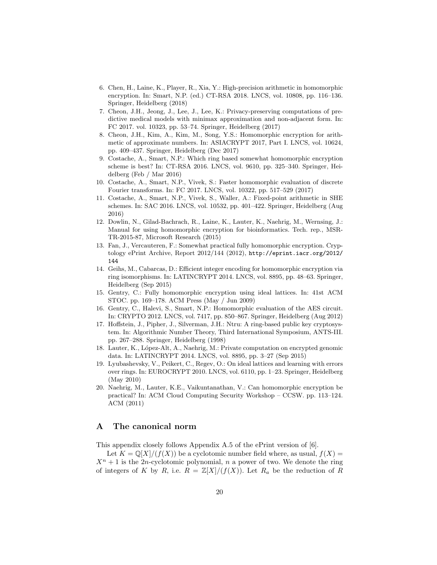- 6. Chen, H., Laine, K., Player, R., Xia, Y.: High-precision arithmetic in homomorphic encryption. In: Smart, N.P. (ed.) CT-RSA 2018. LNCS, vol. 10808, pp. 116–136. Springer, Heidelberg (2018)
- 7. Cheon, J.H., Jeong, J., Lee, J., Lee, K.: Privacy-preserving computations of predictive medical models with minimax approximation and non-adjacent form. In: FC 2017. vol. 10323, pp. 53–74. Springer, Heidelberg (2017)
- 8. Cheon, J.H., Kim, A., Kim, M., Song, Y.S.: Homomorphic encryption for arithmetic of approximate numbers. In: ASIACRYPT 2017, Part I. LNCS, vol. 10624, pp. 409–437. Springer, Heidelberg (Dec 2017)
- 9. Costache, A., Smart, N.P.: Which ring based somewhat homomorphic encryption scheme is best? In: CT-RSA 2016. LNCS, vol. 9610, pp. 325–340. Springer, Heidelberg (Feb / Mar 2016)
- 10. Costache, A., Smart, N.P., Vivek, S.: Faster homomorphic evaluation of discrete Fourier transforms. In: FC 2017. LNCS, vol. 10322, pp. 517–529 (2017)
- 11. Costache, A., Smart, N.P., Vivek, S., Waller, A.: Fixed-point arithmetic in SHE schemes. In: SAC 2016. LNCS, vol. 10532, pp. 401–422. Springer, Heidelberg (Aug 2016)
- 12. Dowlin, N., Gilad-Bachrach, R., Laine, K., Lauter, K., Naehrig, M., Wernsing, J.: Manual for using homomorphic encryption for bioinformatics. Tech. rep., MSR-TR-2015-87, Microsoft Research (2015)
- 13. Fan, J., Vercauteren, F.: Somewhat practical fully homomorphic encryption. Cryptology ePrint Archive, Report 2012/144 (2012), http://eprint.iacr.org/2012/ 144
- 14. Geihs, M., Cabarcas, D.: Efficient integer encoding for homomorphic encryption via ring isomorphisms. In: LATINCRYPT 2014. LNCS, vol. 8895, pp. 48–63. Springer, Heidelberg (Sep 2015)
- 15. Gentry, C.: Fully homomorphic encryption using ideal lattices. In: 41st ACM STOC. pp. 169–178. ACM Press (May / Jun 2009)
- 16. Gentry, C., Halevi, S., Smart, N.P.: Homomorphic evaluation of the AES circuit. In: CRYPTO 2012. LNCS, vol. 7417, pp. 850–867. Springer, Heidelberg (Aug 2012)
- 17. Hoffstein, J., Pipher, J., Silverman, J.H.: Ntru: A ring-based public key cryptosystem. In: Algorithmic Number Theory, Third International Symposium, ANTS-III. pp. 267–288. Springer, Heidelberg (1998)
- 18. Lauter, K., López-Alt, A., Naehrig, M.: Private computation on encrypted genomic data. In: LATINCRYPT 2014. LNCS, vol. 8895, pp. 3–27 (Sep 2015)
- 19. Lyubashevsky, V., Peikert, C., Regev, O.: On ideal lattices and learning with errors over rings. In: EUROCRYPT 2010. LNCS, vol. 6110, pp. 1–23. Springer, Heidelberg (May 2010)
- 20. Naehrig, M., Lauter, K.E., Vaikuntanathan, V.: Can homomorphic encryption be practical? In: ACM Cloud Computing Security Workshop – CCSW. pp. 113–124. ACM (2011)

## A The canonical norm

This appendix closely follows Appendix A.5 of the ePrint version of [6].

Let  $K = \mathbb{Q}[X]/(f(X))$  be a cyclotomic number field where, as usual,  $f(X) =$  $X<sup>n</sup> + 1$  is the 2*n*-cyclotomic polynomial, *n* a power of two. We denote the ring of integers of K by R, i.e.  $R = \mathbb{Z}[X]/(f(X))$ . Let  $R_a$  be the reduction of R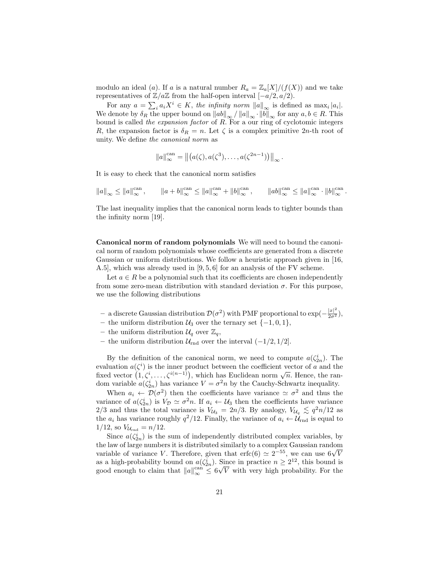modulo an ideal (a). If a is a natural number  $R_a = \mathbb{Z}_a[X]/(f(X))$  and we take representatives of  $\mathbb{Z}/a\mathbb{Z}$  from the half-open interval  $[-a/2, a/2)$ .

For any  $a = \sum_i a_i X^i \in K$ , the infinity norm  $||a||_{\infty}$  is defined as  $\max_i |a_i|$ . We denote by  $\delta_R$  the upper bound on  $\|ab\|_{\infty} / \|a\|_{\infty} \cdot \|b\|_{\infty}$  for any  $a, b \in R$ . This bound is called the expansion factor of R. For a our ring of cyclotomic integers R, the expansion factor is  $\delta_R = n$ . Let  $\zeta$  is a complex primitive 2n-th root of unity. We define the canonical norm as

$$
||a||_{\infty}^{\operatorname{can}} = ||(a(\zeta), a(\zeta^3), \dots, a(\zeta^{2n-1}))||_{\infty}.
$$

It is easy to check that the canonical norm satisfies

$$
||a||_{\infty} \le ||a||_{\infty}^{\text{can}}, \qquad ||a+b||_{\infty}^{\text{can}} \le ||a||_{\infty}^{\text{can}} + ||b||_{\infty}^{\text{can}}, \qquad ||ab||_{\infty}^{\text{can}} \le ||a||_{\infty}^{\text{can}} \cdot ||b||_{\infty}^{\text{can}}.
$$

The last inequality implies that the canonical norm leads to tighter bounds than the infinity norm [19].

Canonical norm of random polynomials We will need to bound the canonical norm of random polynomials whose coefficients are generated from a discrete Gaussian or uniform distributions. We follow a heuristic approach given in [16, A.5], which was already used in [9, 5, 6] for an analysis of the FV scheme.

Let  $a \in R$  be a polynomial such that its coefficients are chosen independently from some zero-mean distribution with standard deviation  $\sigma$ . For this purpose, we use the following distributions

- $-$  a discrete Gaussian distribution  $D(σ^2)$  with PMF proportional to exp( $-\frac{|x|^2}{2σ^2}$ ),
- the uniform distribution  $U_3$  over the ternary set  $\{-1,0,1\},\$
- the uniform distribution  $\mathcal{U}_q$  over  $\mathbb{Z}_q$ ,
- the uniform distribution  $\mathcal{U}_{\text{rnd}}$  over the interval  $(-1/2, 1/2]$ .

By the definition of the canonical norm, we need to compute  $a(\zeta_{2n}^i)$ . The evaluation  $a(\zeta^i)$  is the inner product between the coefficient vector of a and the evaluation  $u(\zeta)$  is the liner product between the coefficient vector of a and the fixed vector  $(1, \zeta^i, \ldots, \zeta^{i(n-1)})$ , which has Euclidean norm  $\sqrt{n}$ . Hence, the random variable  $a(\zeta_{2n}^i)$  has variance  $V = \sigma^2 n$  by the Cauchy-Schwartz inequality.

When  $a_i \leftarrow \mathcal{D}(\sigma^2)$  then the coefficients have variance  $\approx \sigma^2$  and thus the variance of  $a(\zeta_{2n}^i)$  is  $V_{\mathcal{D}} \simeq \sigma^2 n$ . If  $a_i \leftarrow U_3$  then the coefficients have variance 2/3 and thus the total variance is  $V_{\mathcal{U}_3} = 2n/3$ . By analogy,  $V_{\mathcal{U}_q} \leq q^2n/12$  as the  $a_i$  has variance roughly  $q^2/12$ . Finally, the variance of  $a_i \leftarrow \mathcal{U}_{\text{rnd}}$  is equal to  $1/12$ , so  $V_{\mathcal{U}_{\text{rnd}}} = n/12$ .

Since  $a(\zeta_{2n}^i)$  is the sum of independently distributed complex variables, by the law of large numbers it is distributed similarly to a complex Gaussian random the law of large numbers it is distributed similarly to a complex Gaussian random<br>variable of variance V. Therefore, given that  $\text{erfc}(6) \simeq 2^{-55}$ , we can use  $6\sqrt{V}$ as a high-probability bound on  $a(\zeta_{2n}^i)$ . Since in practice  $n \geq 2^{12}$ , this bound is good enough to claim that  $||a||_{\infty}^{\text{can}} \leq 6$  $\ddot{q}$ V with very high probability. For the